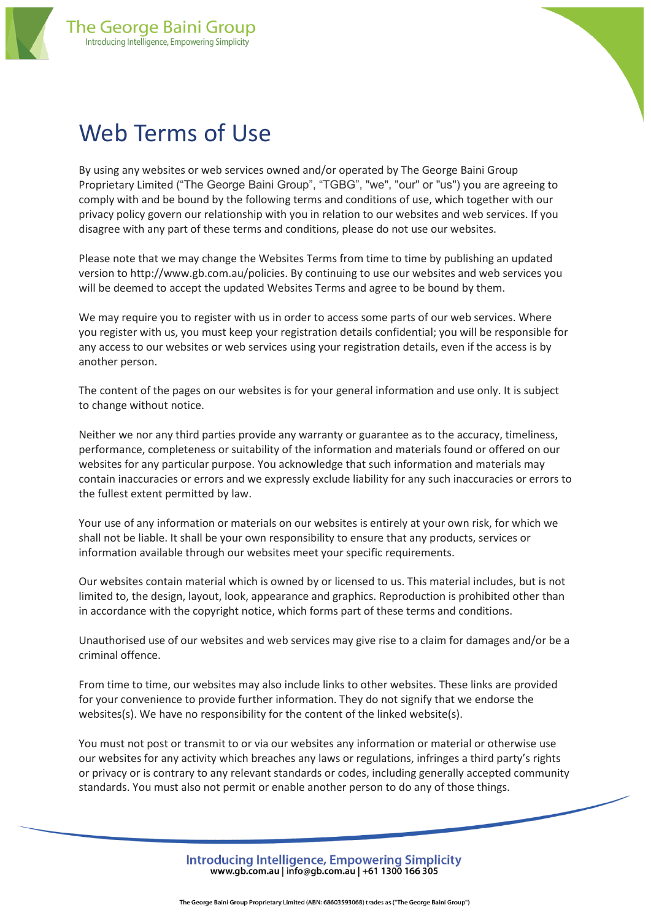



By using any websites or web services owned and/or operated by The George Baini Group Proprietary Limited ("The George Baini Group", "TGBG", "we", "our" or "us") you are agreeing to comply with and be bound by the following terms and conditions of use, which together with our privacy policy govern our relationship with you in relation to our websites and web services. If you disagree with any part of these terms and conditions, please do not use our websites.

Please note that we may change the Websites Terms from time to time by publishing an updated version to http://www.gb.com.au/policies. By continuing to use our websites and web services you will be deemed to accept the updated Websites Terms and agree to be bound by them.

We may require you to register with us in order to access some parts of our web services. Where you register with us, you must keep your registration details confidential; you will be responsible for any access to our websites or web services using your registration details, even if the access is by another person.

The content of the pages on our websites is for your general information and use only. It is subject to change without notice.

Neither we nor any third parties provide any warranty or guarantee as to the accuracy, timeliness, performance, completeness or suitability of the information and materials found or offered on our websites for any particular purpose. You acknowledge that such information and materials may contain inaccuracies or errors and we expressly exclude liability for any such inaccuracies or errors to the fullest extent permitted by law.

Your use of any information or materials on our websites is entirely at your own risk, for which we shall not be liable. It shall be your own responsibility to ensure that any products, services or information available through our websites meet your specific requirements.

Our websites contain material which is owned by or licensed to us. This material includes, but is not limited to, the design, layout, look, appearance and graphics. Reproduction is prohibited other than in accordance with the copyright notice, which forms part of these terms and conditions.

Unauthorised use of our websites and web services may give rise to a claim for damages and/or be a criminal offence.

From time to time, our websites may also include links to other websites. These links are provided for your convenience to provide further information. They do not signify that we endorse the websites(s). We have no responsibility for the content of the linked website(s).

You must not post or transmit to or via our websites any information or material or otherwise use our websites for any activity which breaches any laws or regulations, infringes a third party's rights or privacy or is contrary to any relevant standards or codes, including generally accepted community standards. You must also not permit or enable another person to do any of those things.

> Introducing Intelligence, Empowering Simplicity www.gb.com.au | info@gb.com.au | +61 1300 166 305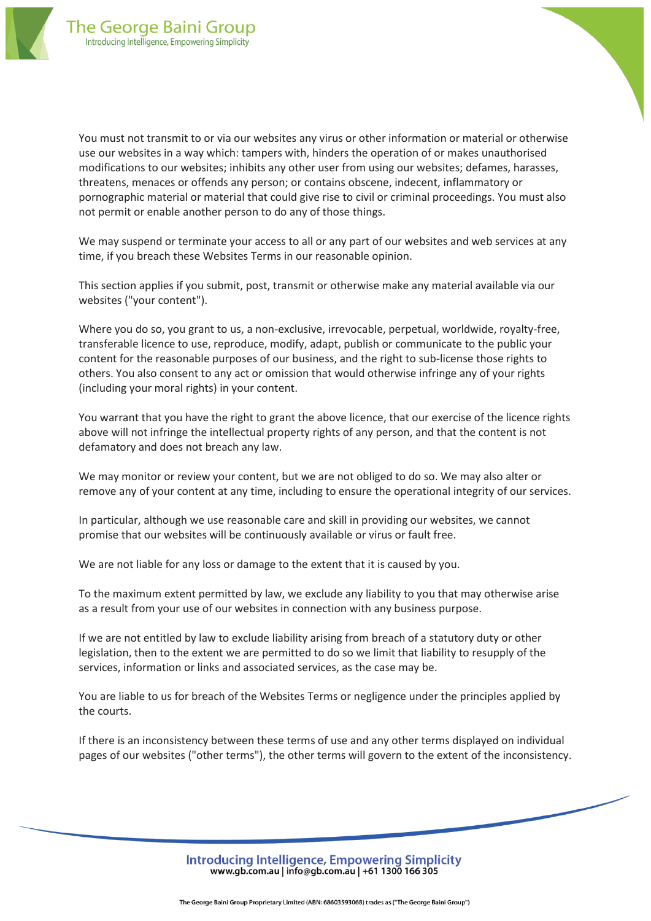

You must not transmit to or via our websites any virus or other information or material or otherwise use our websites in a way which: tampers with, hinders the operation of or makes unauthorised modifications to our websites; inhibits any other user from using our websites; defames, harasses, threatens, menaces or offends any person; or contains obscene, indecent, inflammatory or pornographic material or material that could give rise to civil or criminal proceedings. You must also not permit or enable another person to do any of those things.

We may suspend or terminate your access to all or any part of our websites and web services at any time, if you breach these Websites Terms in our reasonable opinion.

This section applies if you submit, post, transmit or otherwise make any material available via our websites ("your content").

Where you do so, you grant to us, a non-exclusive, irrevocable, perpetual, worldwide, royalty-free, transferable licence to use, reproduce, modify, adapt, publish or communicate to the public your content for the reasonable purposes of our business, and the right to sub-license those rights to others. You also consent to any act or omission that would otherwise infringe any of your rights (including your moral rights) in your content.

You warrant that you have the right to grant the above licence, that our exercise of the licence rights above will not infringe the intellectual property rights of any person, and that the content is not defamatory and does not breach any law.

We may monitor or review your content, but we are not obliged to do so. We may also alter or remove any of your content at any time, including to ensure the operational integrity of our services.

In particular, although we use reasonable care and skill in providing our websites, we cannot promise that our websites will be continuously available or virus or fault free.

We are not liable for any loss or damage to the extent that it is caused by you.

To the maximum extent permitted by law, we exclude any liability to you that may otherwise arise as a result from your use of our websites in connection with any business purpose.

If we are not entitled by law to exclude liability arising from breach of a statutory duty or other legislation, then to the extent we are permitted to do so we limit that liability to resupply of the services, information or links and associated services, as the case may be.

You are liable to us for breach of the Websites Terms or negligence under the principles applied by the courts.

If there is an inconsistency between these terms of use and any other terms displayed on individual pages of our websites ("other terms"), the other terms will govern to the extent of the inconsistency.

> Introducing Intelligence, Empowering Simplicity www.gb.com.au | info@gb.com.au | +61 1300 166 305